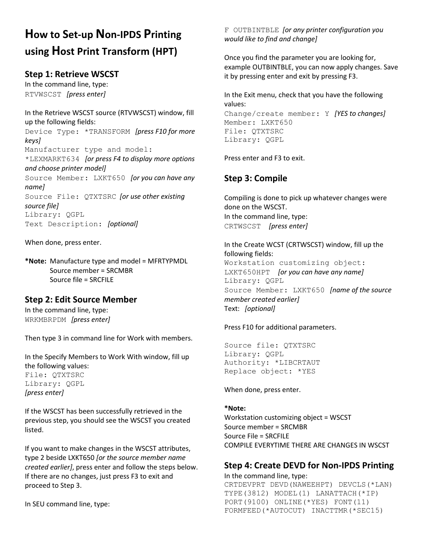# **How to Set-up Non-IPDS Printing using Host Print Transform (HPT)**

# **Step 1: Retrieve WSCST**

In the command line, type: RTVWSCST *[press enter]*

In the Retrieve WSCST source (RTVWSCST) window, fill up the following fields: Device Type: \*TRANSFORM *[press F10 for more keys]*  Manufacturer type and model: \*LEXMARKT634 *[or press F4 to display more options and choose printer model]* Source Member: LXKT650 *[or you can have any name]* Source File: QTXTSRC *[or use other existing source file]* Library: QGPL Text Description: *[optional]*

When done, press enter.

**\*Note:** Manufacture type and model = MFRTYPMDL Source member = SRCMBR Source file = SRCFILE

# **Step 2: Edit Source Member**

In the command line, type: WRKMBRPDM *[press enter]*

Then type 3 in command line for Work with members.

In the Specify Members to Work With window, fill up the following values: File: QTXTSRC Library: QGPL *[press enter]* 

If the WSCST has been successfully retrieved in the previous step, you should see the WSCST you created listed.

If you want to make changes in the WSCST attributes, type 2 beside LXKT650 *[or the source member name created earlier]*, press enter and follow the steps below. If there are no changes, just press F3 to exit and proceed to Step 3.

In SEU command line, type:

F OUTBINTBLE *[or any printer configuration you would like to find and change]* 

Once you find the parameter you are looking for, example OUTBINTBLE, you can now apply changes. Save it by pressing enter and exit by pressing F3.

In the Exit menu, check that you have the following values: Change/create member: Y *[YES to changes]* Member: LXKT650 File: QTXTSRC Library: QGPL

Press enter and F3 to exit.

# **Step 3: Compile**

Compiling is done to pick up whatever changes were done on the WSCST. In the command line, type: CRTWSCST *[press enter]* 

In the Create WCST (CRTWSCST) window, fill up the following fields: Workstation customizing object: LXKT650HPT *[or you can have any name]* Library: QGPL Source Member: LXKT650 *[name of the source member created earlier]* Text: *[optional]*

Press F10 for additional parameters.

Source file: QTXTSRC Library: QGPL Authority: \*LIBCRTAUT Replace object: \*YES

When done, press enter.

#### **\*Note:**

Workstation customizing object = WSCST Source member = SRCMBR Source File = SRCFILE COMPILE EVERYTIME THERE ARE CHANGES IN WSCST

# **Step 4: Create DEVD for Non-IPDS Printing**

In the command line, type: CRTDEVPRT DEVD(NAWEEHPT) DEVCLS(\*LAN) TYPE(3812) MODEL(1) LANATTACH(\*IP) PORT(9100) ONLINE(\*YES) FONT(11) FORMFEED(\*AUTOCUT) INACTTMR(\*SEC15)